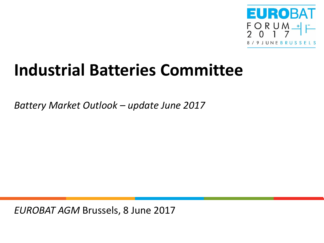

# **Industrial Batteries Committee**

*Battery Market Outlook – update June 2017*

*EUROBAT AGM* Brussels, 8 June 2017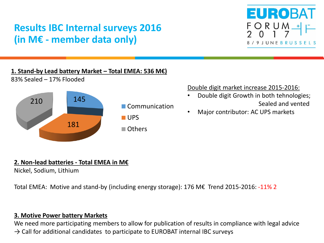# **Results IBC Internal surveys 2016 (in M€ - member data only)**



#### **1. Stand-by Lead battery Market – Total EMEA: 536 M€)**



83% Sealed – 17% Flooded

### Double digit market increase 2015-2016:

- Double digit Growth in both tehnologies; Sealed and vented
- Major contributor: AC UPS markets

## **2. Non-lead batteries - Total EMEA in M€**

Nickel, Sodium, Lithium

Total EMEA: Motive and stand-by (including energy storage): 176 M€ Trend 2015-2016: -11% 2

## **3. Motive Power battery Markets**

We need more participating members to allow for publication of results in compliance with legal advice  $\rightarrow$  Call for additional candidates to participate to EUROBAT internal IBC surveys